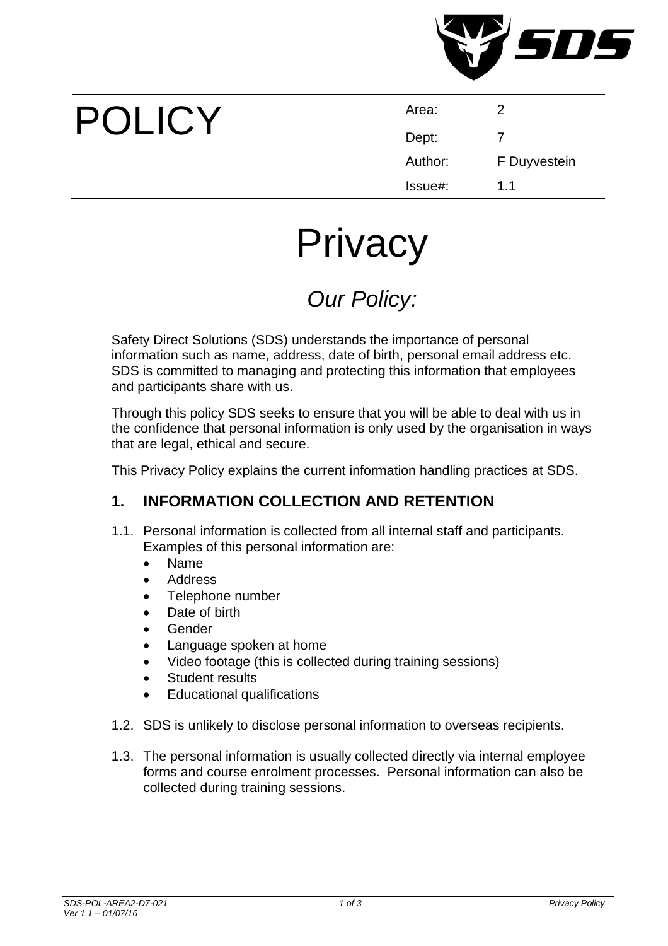

# POLICY

| Area:   | 2            |
|---------|--------------|
| Dept:   | 7            |
| Author: | F Duyvestein |
| Issue#: | 1.1          |

## **Privacy**

### *Our Policy:*

Safety Direct Solutions (SDS) understands the importance of personal information such as name, address, date of birth, personal email address etc. SDS is committed to managing and protecting this information that employees and participants share with us.

Through this policy SDS seeks to ensure that you will be able to deal with us in the confidence that personal information is only used by the organisation in ways that are legal, ethical and secure.

This Privacy Policy explains the current information handling practices at SDS.

#### **1. INFORMATION COLLECTION AND RETENTION**

- 1.1. Personal information is collected from all internal staff and participants. Examples of this personal information are:
	- Name
	- Address
	- Telephone number
	- Date of birth
	- Gender
	- Language spoken at home
	- Video footage (this is collected during training sessions)
	- Student results
	- Educational qualifications
- 1.2. SDS is unlikely to disclose personal information to overseas recipients.
- 1.3. The personal information is usually collected directly via internal employee forms and course enrolment processes. Personal information can also be collected during training sessions.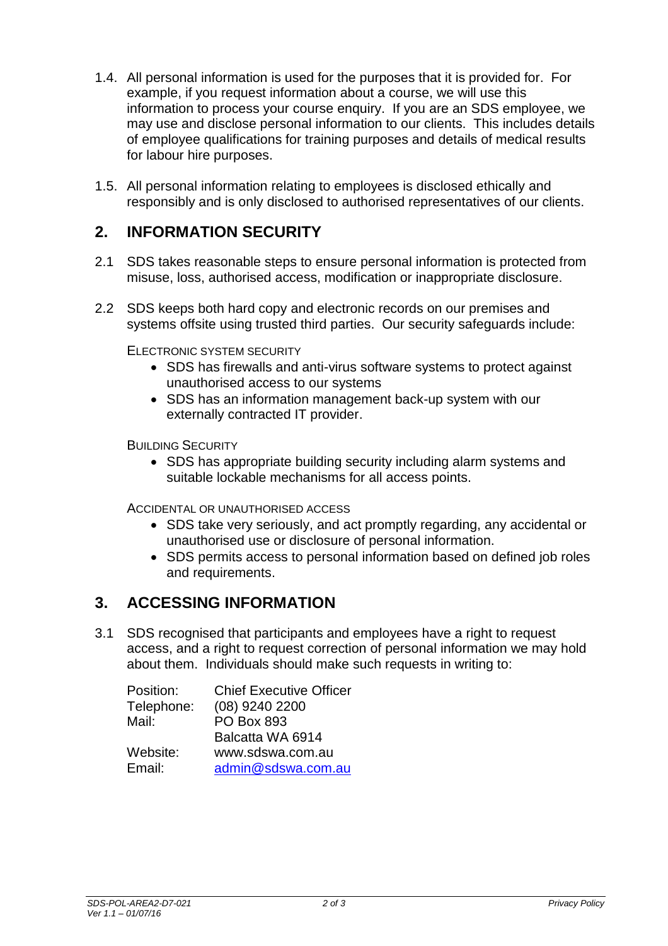- 1.4. All personal information is used for the purposes that it is provided for. For example, if you request information about a course, we will use this information to process your course enquiry. If you are an SDS employee, we may use and disclose personal information to our clients. This includes details of employee qualifications for training purposes and details of medical results for labour hire purposes.
- 1.5. All personal information relating to employees is disclosed ethically and responsibly and is only disclosed to authorised representatives of our clients.

#### **2. INFORMATION SECURITY**

- 2.1 SDS takes reasonable steps to ensure personal information is protected from misuse, loss, authorised access, modification or inappropriate disclosure.
- 2.2 SDS keeps both hard copy and electronic records on our premises and systems offsite using trusted third parties. Our security safeguards include:

ELECTRONIC SYSTEM SECURITY

- SDS has firewalls and anti-virus software systems to protect against unauthorised access to our systems
- SDS has an information management back-up system with our externally contracted IT provider.

BUILDING SECURITY

• SDS has appropriate building security including alarm systems and suitable lockable mechanisms for all access points.

ACCIDENTAL OR UNAUTHORISED ACCESS

- SDS take very seriously, and act promptly regarding, any accidental or unauthorised use or disclosure of personal information.
- SDS permits access to personal information based on defined job roles and requirements.

#### **3. ACCESSING INFORMATION**

3.1 SDS recognised that participants and employees have a right to request access, and a right to request correction of personal information we may hold about them. Individuals should make such requests in writing to:

| Position:  | <b>Chief Executive Officer</b> |
|------------|--------------------------------|
| Telephone: | (08) 9240 2200                 |
| Mail:      | <b>PO Box 893</b>              |
|            | Balcatta WA 6914               |
| Website:   | www.sdswa.com.au               |
| Email:     | admin@sdswa.com.au             |